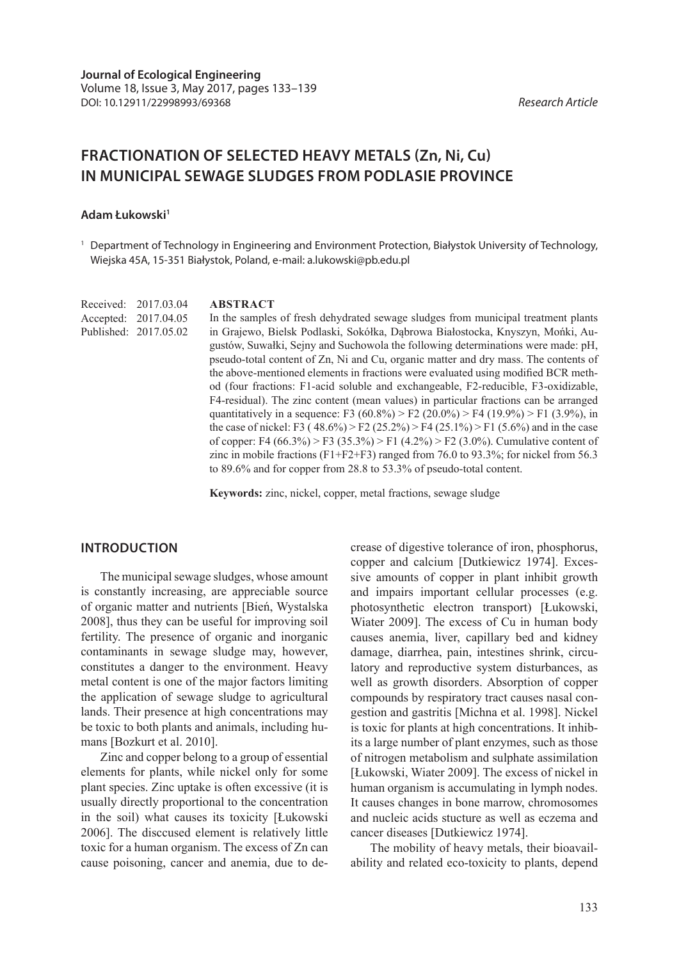# **FRACTIONATION OF SELECTED HEAVY METALS (Zn, Ni, Cu) IN MUNICIPAL SEWAGE SLUDGES FROM PODLASIE PROVINCE**

#### **Adam Łukowski1**

<sup>1</sup> Department of Technology in Engineering and Environment Protection, Białystok University of Technology, Wiejska 45A, 15-351 Białystok, Poland, e-mail: a.lukowski@pb.edu.pl

Received: 2017.03.04 Accepted: 2017.04.05 Published: 2017.05.02

#### **ABSTRACT**

In the samples of fresh dehydrated sewage sludges from municipal treatment plants in Grajewo, Bielsk Podlaski, Sokółka, Dąbrowa Białostocka, Knyszyn, Mońki, Augustów, Suwałki, Sejny and Suchowola the following determinations were made: pH, pseudo-total content of Zn, Ni and Cu, organic matter and dry mass. The contents of the above-mentioned elements in fractions were evaluated using modified BCR method (four fractions: F1-acid soluble and exchangeable, F2-reducible, F3-oxidizable, F4-residual). The zinc content (mean values) in particular fractions can be arranged quantitatively in a sequence: F3 (60.8%) > F2 (20.0%) > F4 (19.9%) > F1 (3.9%), in the case of nickel: F3 ( $48.6\%$ ) > F2 ( $25.2\%$ ) > F4 ( $25.1\%$ ) > F1 ( $5.6\%$ ) and in the case of copper: F4 (66.3%) > F3 (35.3%) > F1 (4.2%) > F2 (3.0%). Cumulative content of zinc in mobile fractions (F1+F2+F3) ranged from 76.0 to 93.3%; for nickel from 56.3 to 89.6% and for copper from 28.8 to 53.3% of pseudo-total content.

**Keywords:** zinc, nickel, copper, metal fractions, sewage sludge

## **INTRODUCTION**

The municipal sewage sludges, whose amount is constantly increasing, are appreciable source of organic matter and nutrients [Bień, Wystalska 2008], thus they can be useful for improving soil fertility. The presence of organic and inorganic contaminants in sewage sludge may, however, constitutes a danger to the environment. Heavy metal content is one of the major factors limiting the application of sewage sludge to agricultural lands. Their presence at high concentrations may be toxic to both plants and animals, including humans [Bozkurt et al. 2010].

Zinc and copper belong to a group of essential elements for plants, while nickel only for some plant species. Zinc uptake is often excessive (it is usually directly proportional to the concentration in the soil) what causes its toxicity [Łukowski 2006]. The disccused element is relatively little toxic for a human organism. The excess of Zn can cause poisoning, cancer and anemia, due to decrease of digestive tolerance of iron, phosphorus, copper and calcium [Dutkiewicz 1974]. Excessive amounts of copper in plant inhibit growth and impairs important cellular processes (e.g. photosynthetic electron transport) [Łukowski, Wiater 2009]. The excess of Cu in human body causes anemia, liver, capillary bed and kidney damage, diarrhea, pain, intestines shrink, circulatory and reproductive system disturbances, as well as growth disorders. Absorption of copper compounds by respiratory tract causes nasal congestion and gastritis [Michna et al. 1998]. Nickel is toxic for plants at high concentrations. It inhibits a large number of plant enzymes, such as those of nitrogen metabolism and sulphate assimilation [Łukowski, Wiater 2009]. The excess of nickel in human organism is accumulating in lymph nodes. It causes changes in bone marrow, chromosomes and nucleic acids stucture as well as eczema and cancer diseases [Dutkiewicz 1974].

The mobility of heavy metals, their bioavailability and related eco-toxicity to plants, depend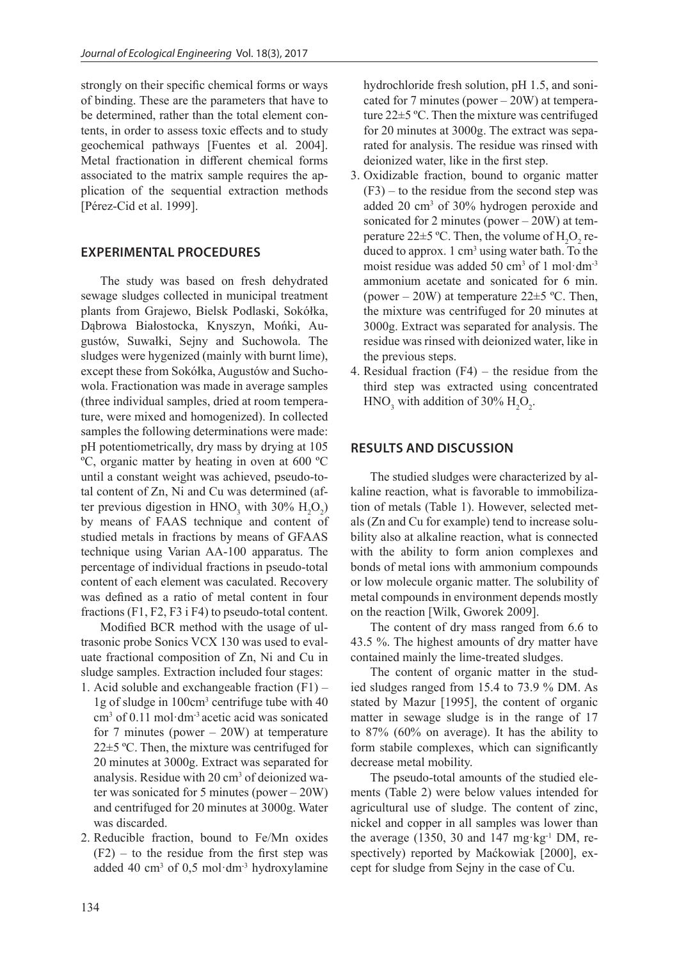strongly on their specific chemical forms or ways of binding. These are the parameters that have to be determined, rather than the total element contents, in order to assess toxic effects and to study geochemical pathways [Fuentes et al. 2004]. Metal fractionation in different chemical forms associated to the matrix sample requires the application of the sequential extraction methods [Pérez-Cid et al. 1999].

## **EXPERIMENTAL PROCEDURES**

The study was based on fresh dehydrated sewage sludges collected in municipal treatment plants from Grajewo, Bielsk Podlaski, Sokółka, Dąbrowa Białostocka, Knyszyn, Mońki, Augustów, Suwałki, Sejny and Suchowola. The sludges were hygenized (mainly with burnt lime), except these from Sokółka, Augustów and Suchowola. Fractionation was made in average samples (three individual samples, dried at room temperature, were mixed and homogenized). In collected samples the following determinations were made: pH potentiometrically, dry mass by drying at 105 ºC, organic matter by heating in oven at 600 ºC until a constant weight was achieved, pseudo-total content of Zn, Ni and Cu was determined (after previous digestion in  $HNO_3$  with 30%  $H_2O_2$ ) by means of FAAS technique and content of studied metals in fractions by means of GFAAS technique using Varian AA-100 apparatus. The percentage of individual fractions in pseudo-total content of each element was caculated. Recovery was defined as a ratio of metal content in four fractions (F1, F2, F3 i F4) to pseudo-total content.

Modified BCR method with the usage of ultrasonic probe Sonics VCX 130 was used to evaluate fractional composition of Zn, Ni and Cu in sludge samples. Extraction included four stages:

- 1. Acid soluble and exchangeable fraction  $(F1)$  1g of sludge in 100cm<sup>3</sup> centrifuge tube with 40 cm3 of 0.11 mol·dm-3 acetic acid was sonicated for 7 minutes (power  $-20W$ ) at temperature 22±5 ºC. Then, the mixture was centrifuged for 20 minutes at 3000g. Extract was separated for analysis. Residue with 20 cm<sup>3</sup> of deionized water was sonicated for 5 minutes (power – 20W) and centrifuged for 20 minutes at 3000g. Water was discarded.
- 2. Reducible fraction, bound to Fe/Mn oxides  $(F2)$  – to the residue from the first step was added 40 cm<sup>3</sup> of 0,5 mol·dm<sup>-3</sup> hydroxylamine

hydrochloride fresh solution, pH 1.5, and sonicated for 7 minutes (power – 20W) at temperature 22±5 ºC. Then the mixture was centrifuged for 20 minutes at 3000g. The extract was separated for analysis. The residue was rinsed with deionized water, like in the first step.

- 3. Oxidizable fraction, bound to organic matter  $(F3)$  – to the residue from the second step was added 20 cm3 of 30% hydrogen peroxide and sonicated for 2 minutes (power  $-20W$ ) at temperature 22 $\pm$ 5 °C. Then, the volume of  $H_2O_2$  reduced to approx.  $1 \text{ cm}^3$  using water bath. To the moist residue was added 50 cm<sup>3</sup> of 1 mol·dm<sup>-3</sup> ammonium acetate and sonicated for 6 min. (power – 20W) at temperature  $22\pm 5$  °C. Then, the mixture was centrifuged for 20 minutes at 3000g. Extract was separated for analysis. The residue was rinsed with deionized water, like in the previous steps.
- 4. Residual fraction  $(F4)$  the residue from the third step was extracted using concentrated  $HNO<sub>3</sub>$  with addition of 30%  $H<sub>2</sub>O<sub>2</sub>$ .

## **RESULTS AND DISCUSSION**

The studied sludges were characterized by alkaline reaction, what is favorable to immobilization of metals (Table 1). However, selected metals (Zn and Cu for example) tend to increase solubility also at alkaline reaction, what is connected with the ability to form anion complexes and bonds of metal ions with ammonium compounds or low molecule organic matter. The solubility of metal compounds in environment depends mostly on the reaction [Wilk, Gworek 2009].

The content of dry mass ranged from 6.6 to 43.5 %. The highest amounts of dry matter have contained mainly the lime-treated sludges.

The content of organic matter in the studied sludges ranged from 15.4 to 73.9 % DM. As stated by Mazur [1995], the content of organic matter in sewage sludge is in the range of 17 to 87% (60% on average). It has the ability to form stabile complexes, which can significantly decrease metal mobility.

The pseudo-total amounts of the studied elements (Table 2) were below values intended for agricultural use of sludge. The content of zinc, nickel and copper in all samples was lower than the average (1350, 30 and 147 mg·kg<sup>-1</sup> DM, respectively) reported by Maćkowiak [2000], except for sludge from Sejny in the case of Cu.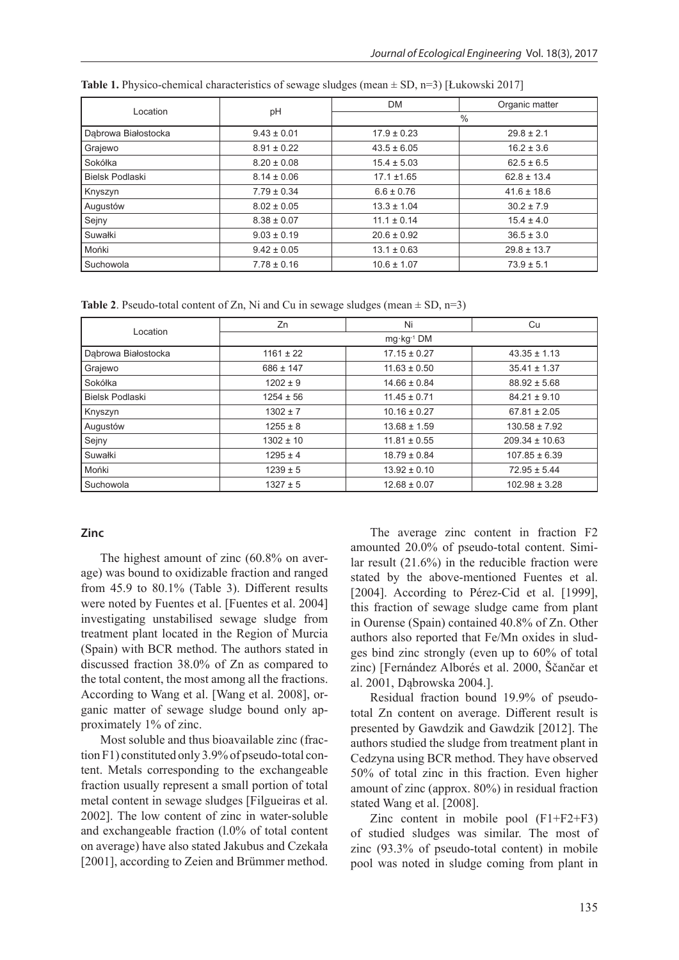|                        |                 | <b>DM</b>       | Organic matter  |  |  |  |  |
|------------------------|-----------------|-----------------|-----------------|--|--|--|--|
| Location               | pH              | $\frac{0}{0}$   |                 |  |  |  |  |
| Dabrowa Białostocka    | $9.43 \pm 0.01$ | $17.9 \pm 0.23$ | $29.8 \pm 2.1$  |  |  |  |  |
| Grajewo                | $8.91 \pm 0.22$ | $43.5 \pm 6.05$ | $16.2 \pm 3.6$  |  |  |  |  |
| Sokółka                | $8.20 \pm 0.08$ | $15.4 \pm 5.03$ | $62.5 \pm 6.5$  |  |  |  |  |
| <b>Bielsk Podlaski</b> | $8.14 \pm 0.06$ | $17.1 \pm 1.65$ | $62.8 \pm 13.4$ |  |  |  |  |
| Knyszyn                | $7.79 \pm 0.34$ | $6.6 \pm 0.76$  | $41.6 \pm 18.6$ |  |  |  |  |
| Augustów               | $8.02 \pm 0.05$ | $13.3 \pm 1.04$ | $30.2 \pm 7.9$  |  |  |  |  |
| Sejny                  | $8.38 \pm 0.07$ | $11.1 \pm 0.14$ | $15.4 \pm 4.0$  |  |  |  |  |
| Suwałki                | $9.03 \pm 0.19$ | $20.6 \pm 0.92$ | $36.5 \pm 3.0$  |  |  |  |  |
| Mońki                  | $9.42 \pm 0.05$ | $13.1 \pm 0.63$ | $29.8 \pm 13.7$ |  |  |  |  |
| Suchowola              | $7.78 \pm 0.16$ | $10.6 \pm 1.07$ | $73.9 \pm 5.1$  |  |  |  |  |

**Table 1.** Physico-chemical characteristics of sewage sludges (mean ± SD, n=3) [Łukowski 2017]

**Table 2.** Pseudo-total content of Zn, Ni and Cu in sewage sludges (mean  $\pm$  SD, n=3)

| Location               | Zn                    | Ni               | Cu                 |  |  |  |  |  |
|------------------------|-----------------------|------------------|--------------------|--|--|--|--|--|
|                        | $mg \cdot kg^{-1} DM$ |                  |                    |  |  |  |  |  |
| Dąbrowa Białostocka    | $1161 \pm 22$         | $17.15 \pm 0.27$ | $43.35 \pm 1.13$   |  |  |  |  |  |
| Grajewo                | $686 \pm 147$         | $11.63 \pm 0.50$ | $35.41 \pm 1.37$   |  |  |  |  |  |
| Sokółka                | $1202 \pm 9$          | $14.66 \pm 0.84$ | $88.92 \pm 5.68$   |  |  |  |  |  |
| <b>Bielsk Podlaski</b> | $1254 \pm 56$         | $11.45 \pm 0.71$ | $84.21 \pm 9.10$   |  |  |  |  |  |
| Knyszyn                | $1302 \pm 7$          | $10.16 \pm 0.27$ | $67.81 \pm 2.05$   |  |  |  |  |  |
| Augustów               | $1255 \pm 8$          | $13.68 \pm 1.59$ | $130.58 \pm 7.92$  |  |  |  |  |  |
| Sejny                  | $1302 \pm 10$         | $11.81 \pm 0.55$ | $209.34 \pm 10.63$ |  |  |  |  |  |
| Suwałki                | $1295 \pm 4$          | $18.79 \pm 0.84$ | $107.85 \pm 6.39$  |  |  |  |  |  |
| Mońki                  | $1239 \pm 5$          | $13.92 \pm 0.10$ | $72.95 \pm 5.44$   |  |  |  |  |  |
| Suchowola              | $1327 \pm 5$          | $12.68 \pm 0.07$ | $102.98 \pm 3.28$  |  |  |  |  |  |

#### **Zinc**

The highest amount of zinc (60.8% on average) was bound to oxidizable fraction and ranged from 45.9 to 80.1% (Table 3). Different results were noted by Fuentes et al. [Fuentes et al. 2004] investigating unstabilised sewage sludge from treatment plant located in the Region of Murcia (Spain) with BCR method. The authors stated in discussed fraction 38.0% of Zn as compared to the total content, the most among all the fractions. According to Wang et al. [Wang et al. 2008], organic matter of sewage sludge bound only approximately 1% of zinc.

Most soluble and thus bioavailable zinc (fraction F1) constituted only 3.9% of pseudo-total content. Metals corresponding to the exchangeable fraction usually represent a small portion of total metal content in sewage sludges [Filgueiras et al. 2002]. The low content of zinc in water-soluble and exchangeable fraction (l.0% of total content on average) have also stated Jakubus and Czekała [2001], according to Zeien and Brümmer method.

The average zinc content in fraction F2 amounted 20.0% of pseudo-total content. Similar result (21.6%) in the reducible fraction were stated by the above-mentioned Fuentes et al. [2004]. According to Pérez-Cid et al. [1999], this fraction of sewage sludge came from plant in Ourense (Spain) contained 40.8% of Zn. Other authors also reported that Fe/Mn oxides in sludges bind zinc strongly (even up to 60% of total zinc) [Fernández Alborés et al. 2000, Ščančar et al. 2001, Dąbrowska 2004.].

Residual fraction bound 19.9% of pseudototal Zn content on average. Different result is presented by Gawdzik and Gawdzik [2012]. The authors studied the sludge from treatment plant in Cedzyna using BCR method. They have observed 50% of total zinc in this fraction. Even higher amount of zinc (approx. 80%) in residual fraction stated Wang et al. [2008].

Zinc content in mobile pool (F1+F2+F3) of studied sludges was similar. The most of zinc (93.3% of pseudo-total content) in mobile pool was noted in sludge coming from plant in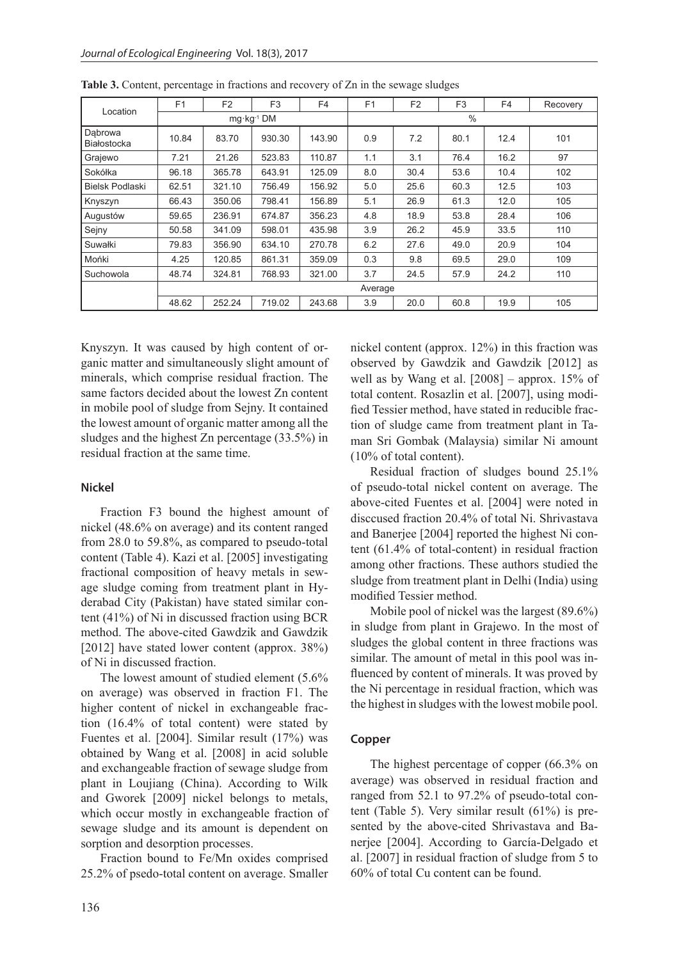| Location               | F1      | F <sub>2</sub> | F <sub>3</sub>        | F <sub>4</sub> | F <sub>1</sub> | F <sub>2</sub> | F <sub>3</sub> | F <sub>4</sub> | Recovery |
|------------------------|---------|----------------|-----------------------|----------------|----------------|----------------|----------------|----------------|----------|
|                        |         |                | $mg \cdot kg^{-1}$ DM |                | $\frac{0}{0}$  |                |                |                |          |
| Dabrowa<br>Białostocka | 10.84   | 83.70          | 930.30                | 143.90         | 0.9            | 7.2            | 80.1           | 12.4           | 101      |
| Grajewo                | 7.21    | 21.26          | 523.83                | 110.87         | 1.1            | 3.1            | 76.4           | 16.2           | 97       |
| Sokółka                | 96.18   | 365.78         | 643.91                | 125.09         | 8.0            | 30.4           | 53.6           | 10.4           | 102      |
| <b>Bielsk Podlaski</b> | 62.51   | 321.10         | 756.49                | 156.92         | 5.0            | 25.6           | 60.3           | 12.5           | 103      |
| Knyszyn                | 66.43   | 350.06         | 798.41                | 156.89         | 5.1            | 26.9           | 61.3           | 12.0           | 105      |
| Augustów               | 59.65   | 236.91         | 674.87                | 356.23         | 4.8            | 18.9           | 53.8           | 28.4           | 106      |
| Sejny                  | 50.58   | 341.09         | 598.01                | 435.98         | 3.9            | 26.2           | 45.9           | 33.5           | 110      |
| Suwałki                | 79.83   | 356.90         | 634.10                | 270.78         | 6.2            | 27.6           | 49.0           | 20.9           | 104      |
| Mońki                  | 4.25    | 120.85         | 861.31                | 359.09         | 0.3            | 9.8            | 69.5           | 29.0           | 109      |
| Suchowola              | 48.74   | 324.81         | 768.93                | 321.00         | 3.7            | 24.5           | 57.9           | 24.2           | 110      |
|                        | Average |                |                       |                |                |                |                |                |          |
|                        | 48.62   | 252.24         | 719.02                | 243.68         | 3.9            | 20.0           | 60.8           | 19.9           | 105      |

**Table 3.** Content, percentage in fractions and recovery of Zn in the sewage sludges

Knyszyn. It was caused by high content of organic matter and simultaneously slight amount of minerals, which comprise residual fraction. The same factors decided about the lowest Zn content in mobile pool of sludge from Sejny. It contained the lowest amount of organic matter among all the sludges and the highest Zn percentage (33.5%) in residual fraction at the same time.

## **Nickel**

Fraction F3 bound the highest amount of nickel (48.6% on average) and its content ranged from 28.0 to 59.8%, as compared to pseudo-total content (Table 4). Kazi et al. [2005] investigating fractional composition of heavy metals in sewage sludge coming from treatment plant in Hyderabad City (Pakistan) have stated similar content (41%) of Ni in discussed fraction using BCR method. The above-cited Gawdzik and Gawdzik [2012] have stated lower content (approx. 38%) of Ni in discussed fraction.

The lowest amount of studied element (5.6% on average) was observed in fraction F1. The higher content of nickel in exchangeable fraction (16.4% of total content) were stated by Fuentes et al. [2004]. Similar result (17%) was obtained by Wang et al. [2008] in acid soluble and exchangeable fraction of sewage sludge from plant in Loujiang (China). According to Wilk and Gworek [2009] nickel belongs to metals, which occur mostly in exchangeable fraction of sewage sludge and its amount is dependent on sorption and desorption processes.

Fraction bound to Fe/Mn oxides comprised 25.2% of psedo-total content on average. Smaller nickel content (approx. 12%) in this fraction was observed by Gawdzik and Gawdzik [2012] as well as by Wang et al. [2008] – approx. 15% of total content. Rosazlin et al. [2007], using modified Tessier method, have stated in reducible fraction of sludge came from treatment plant in Taman Sri Gombak (Malaysia) similar Ni amount (10% of total content).

Residual fraction of sludges bound 25.1% of pseudo-total nickel content on average. The above-cited Fuentes et al. [2004] were noted in disccused fraction 20.4% of total Ni. Shrivastava and Banerjee [2004] reported the highest Ni content (61.4% of total-content) in residual fraction among other fractions. These authors studied the sludge from treatment plant in Delhi (India) using modified Tessier method.

Mobile pool of nickel was the largest (89.6%) in sludge from plant in Grajewo. In the most of sludges the global content in three fractions was similar. The amount of metal in this pool was influenced by content of minerals. It was proved by the Ni percentage in residual fraction, which was the highest in sludges with the lowest mobile pool.

## **Copper**

The highest percentage of copper (66.3% on average) was observed in residual fraction and ranged from 52.1 to 97.2% of pseudo-total content (Table 5). Very similar result (61%) is presented by the above-cited Shrivastava and Banerjee [2004]. According to García-Delgado et al. [2007] in residual fraction of sludge from 5 to 60% of total Cu content can be found.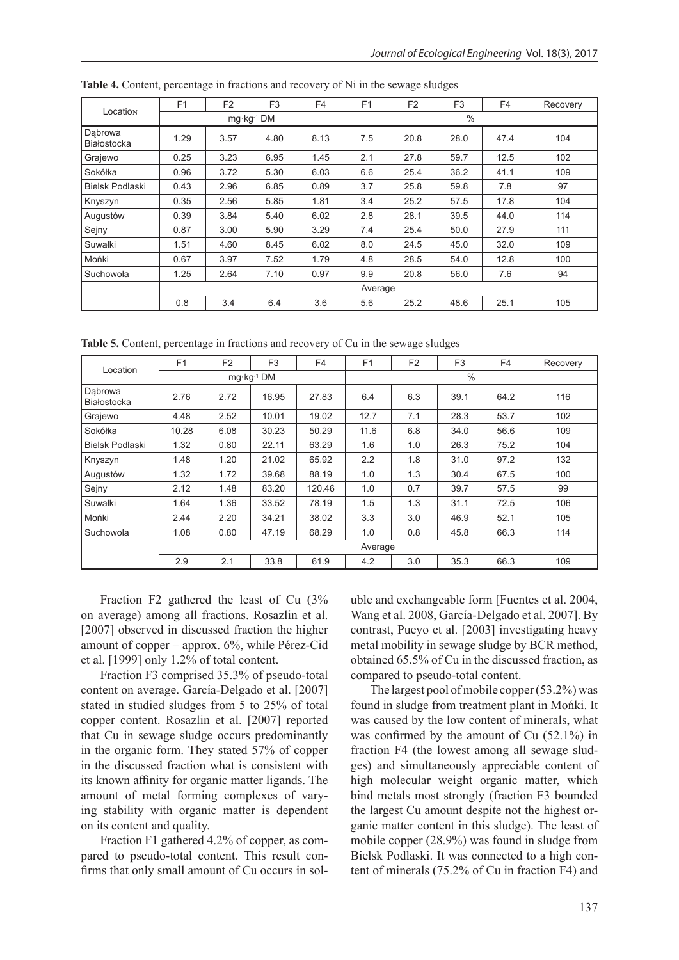| Location               | F <sub>1</sub> | F <sub>2</sub>        | F <sub>3</sub> | F <sub>4</sub> | F <sub>1</sub> | F <sub>2</sub> | F <sub>3</sub> | F4   | Recovery |
|------------------------|----------------|-----------------------|----------------|----------------|----------------|----------------|----------------|------|----------|
|                        |                | $mg \cdot kg^{-1}$ DM |                |                | $\frac{0}{0}$  |                |                |      |          |
| Dabrowa<br>Białostocka | 1.29           | 3.57                  | 4.80           | 8.13           | 7.5            | 20.8           | 28.0           | 47.4 | 104      |
| Grajewo                | 0.25           | 3.23                  | 6.95           | 1.45           | 2.1            | 27.8           | 59.7           | 12.5 | 102      |
| Sokółka                | 0.96           | 3.72                  | 5.30           | 6.03           | 6.6            | 25.4           | 36.2           | 41.1 | 109      |
| Bielsk Podlaski        | 0.43           | 2.96                  | 6.85           | 0.89           | 3.7            | 25.8           | 59.8           | 7.8  | 97       |
| Knyszyn                | 0.35           | 2.56                  | 5.85           | 1.81           | 3.4            | 25.2           | 57.5           | 17.8 | 104      |
| Augustów               | 0.39           | 3.84                  | 5.40           | 6.02           | 2.8            | 28.1           | 39.5           | 44.0 | 114      |
| Sejny                  | 0.87           | 3.00                  | 5.90           | 3.29           | 7.4            | 25.4           | 50.0           | 27.9 | 111      |
| Suwałki                | 1.51           | 4.60                  | 8.45           | 6.02           | 8.0            | 24.5           | 45.0           | 32.0 | 109      |
| Mońki                  | 0.67           | 3.97                  | 7.52           | 1.79           | 4.8            | 28.5           | 54.0           | 12.8 | 100      |
| Suchowola              | 1.25           | 2.64                  | 7.10           | 0.97           | 9.9            | 20.8           | 56.0           | 7.6  | 94       |
|                        | Average        |                       |                |                |                |                |                |      |          |
|                        | 0.8            | 3.4                   | 6.4            | 3.6            | 5.6            | 25.2           | 48.6           | 25.1 | 105      |

**Table 4.** Content, percentage in fractions and recovery of Ni in the sewage sludges

**Table 5.** Content, percentage in fractions and recovery of Cu in the sewage sludges

| Location               | F <sub>1</sub> | F <sub>2</sub> | F <sub>3</sub>        | F <sub>4</sub> | F <sub>1</sub> | F <sub>2</sub> | F <sub>3</sub> | F <sub>4</sub> | Recovery |
|------------------------|----------------|----------------|-----------------------|----------------|----------------|----------------|----------------|----------------|----------|
|                        |                |                | $mq \cdot kq^{-1}$ DM |                | $\frac{0}{0}$  |                |                |                |          |
| Dabrowa<br>Białostocka | 2.76           | 2.72           | 16.95                 | 27.83          | 6.4            | 6.3            | 39.1           | 64.2           | 116      |
| Grajewo                | 4.48           | 2.52           | 10.01                 | 19.02          | 12.7           | 7.1            | 28.3           | 53.7           | 102      |
| Sokółka                | 10.28          | 6.08           | 30.23                 | 50.29          | 11.6           | 6.8            | 34.0           | 56.6           | 109      |
| <b>Bielsk Podlaski</b> | 1.32           | 0.80           | 22.11                 | 63.29          | 1.6            | 1.0            | 26.3           | 75.2           | 104      |
| Knyszyn                | 1.48           | 1.20           | 21.02                 | 65.92          | 2.2            | 1.8            | 31.0           | 97.2           | 132      |
| Augustów               | 1.32           | 1.72           | 39.68                 | 88.19          | 1.0            | 1.3            | 30.4           | 67.5           | 100      |
| Sejny                  | 2.12           | 1.48           | 83.20                 | 120.46         | 1.0            | 0.7            | 39.7           | 57.5           | 99       |
| Suwałki                | 1.64           | 1.36           | 33.52                 | 78.19          | 1.5            | 1.3            | 31.1           | 72.5           | 106      |
| Mońki                  | 2.44           | 2.20           | 34.21                 | 38.02          | 3.3            | 3.0            | 46.9           | 52.1           | 105      |
| Suchowola              | 1.08           | 0.80           | 47.19                 | 68.29          | 1.0            | 0.8            | 45.8           | 66.3           | 114      |
|                        | Average        |                |                       |                |                |                |                |                |          |
|                        | 2.9            | 2.1            | 33.8                  | 61.9           | 4.2            | 3.0            | 35.3           | 66.3           | 109      |

Fraction F2 gathered the least of Cu (3% on average) among all fractions. Rosazlin et al. [2007] observed in discussed fraction the higher amount of copper – approx. 6%, while Pérez-Cid et al. [1999] only 1.2% of total content.

Fraction F3 comprised 35.3% of pseudo-total content on average. García-Delgado et al. [2007] stated in studied sludges from 5 to 25% of total copper content. Rosazlin et al. [2007] reported that Cu in sewage sludge occurs predominantly in the organic form. They stated 57% of copper in the discussed fraction what is consistent with its known affinity for organic matter ligands. The amount of metal forming complexes of varying stability with organic matter is dependent on its content and quality.

Fraction F1 gathered 4.2% of copper, as compared to pseudo-total content. This result confirms that only small amount of Cu occurs in soluble and exchangeable form [Fuentes et al. 2004, Wang et al. 2008, García-Delgado et al. 2007]. By contrast, Pueyo et al. [2003] investigating heavy metal mobility in sewage sludge by BCR method, obtained 65.5% of Cu in the discussed fraction, as compared to pseudo-total content.

The largest pool of mobile copper (53.2%) was found in sludge from treatment plant in Mońki. It was caused by the low content of minerals, what was confirmed by the amount of Cu (52.1%) in fraction F4 (the lowest among all sewage sludges) and simultaneously appreciable content of high molecular weight organic matter, which bind metals most strongly (fraction F3 bounded the largest Cu amount despite not the highest organic matter content in this sludge). The least of mobile copper (28.9%) was found in sludge from Bielsk Podlaski. It was connected to a high content of minerals (75.2% of Cu in fraction F4) and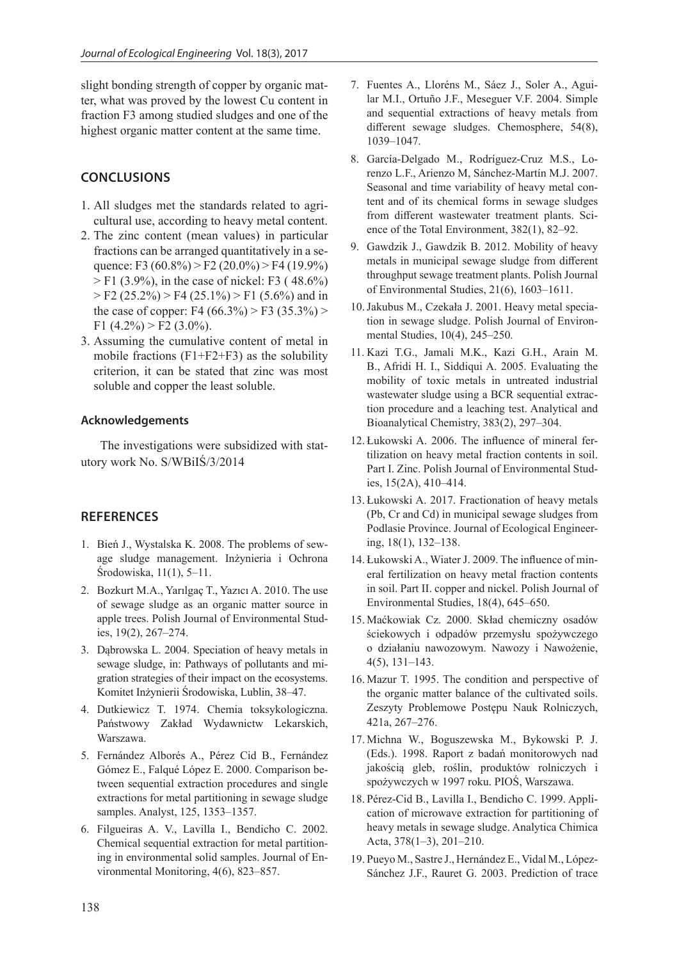slight bonding strength of copper by organic matter, what was proved by the lowest Cu content in fraction F3 among studied sludges and one of the highest organic matter content at the same time.

## **CONCLUSIONS**

- 1. All sludges met the standards related to agricultural use, according to heavy metal content.
- 2. The zinc content (mean values) in particular fractions can be arranged quantitatively in a sequence: F3 (60.8%) > F2 (20.0%) > F4 (19.9%)  $>$  F1 (3.9%), in the case of nickel: F3 (48.6%)  $>$  F2 (25.2%)  $>$  F4 (25.1%)  $>$  F1 (5.6%) and in the case of copper: F4 (66.3%) > F3 (35.3%) > F1  $(4.2\%)$  > F2  $(3.0\%)$ .
- 3. Assuming the cumulative content of metal in mobile fractions  $(F1+F2+F3)$  as the solubility criterion, it can be stated that zinc was most soluble and copper the least soluble.

### **Acknowledgements**

The investigations were subsidized with statutory work No. S/WBiIŚ/3/2014

## **REFERENCES**

- 1. Bień J., Wystalska K. 2008. The problems of sewage sludge management. Inżynieria i Ochrona Środowiska, 11(1), 5–11.
- 2. Bozkurt M.A., Yarılgaç T., Yazıcı A. 2010. The use of sewage sludge as an organic matter source in apple trees. Polish Journal of Environmental Studies, 19(2), 267–274.
- 3. Dąbrowska L. 2004. Speciation of heavy metals in sewage sludge, in: Pathways of pollutants and migration strategies of their impact on the ecosystems. Komitet Inżynierii Środowiska, Lublin, 38–47.
- 4. Dutkiewicz T. 1974. Chemia toksykologiczna. Państwowy Zakład Wydawnictw Lekarskich, Warszawa.
- 5. Fernández Alborés A., Pérez Cid B., Fernández Gómez E., Falqué López E. 2000. Comparison between sequential extraction procedures and single extractions for metal partitioning in sewage sludge samples. Analyst, 125, 1353–1357.
- 6. Filgueiras A. V., Lavilla I., Bendicho C. 2002. Chemical sequential extraction for metal partitioning in environmental solid samples. Journal of Environmental Monitoring, 4(6), 823–857.
- 7. Fuentes A., Lloréns M., Sáez J., Soler A., Aguilar M.I., Ortuño J.F., Meseguer V.F. 2004. Simple and sequential extractions of heavy metals from different sewage sludges. Chemosphere, 54(8), 1039–1047.
- 8. García-Delgado M., Rodríguez-Cruz M.S., Lorenzo L.F., Arienzo M, Sánchez-Martín M.J. 2007. Seasonal and time variability of heavy metal content and of its chemical forms in sewage sludges from different wastewater treatment plants. Science of the Total Environment, 382(1), 82–92.
- 9. Gawdzik J., Gawdzik B. 2012. Mobility of heavy metals in municipal sewage sludge from different throughput sewage treatment plants. Polish Journal of Environmental Studies, 21(6), 1603–1611.
- 10.Jakubus M., Czekała J. 2001. Heavy metal speciation in sewage sludge. Polish Journal of Environmental Studies, 10(4), 245–250.
- 11. Kazi T.G., Jamali M.K., Kazi G.H., Arain M. B., Afridi H. I., Siddiqui A. 2005. Evaluating the mobility of toxic metals in untreated industrial wastewater sludge using a BCR sequential extraction procedure and a leaching test. Analytical and Bioanalytical Chemistry, 383(2), 297–304.
- 12. Łukowski A. 2006. The influence of mineral fertilization on heavy metal fraction contents in soil. Part I. Zinc. Polish Journal of Environmental Studies, 15(2A), 410–414.
- 13. Łukowski A. 2017. Fractionation of heavy metals (Pb, Cr and Cd) in municipal sewage sludges from Podlasie Province. Journal of Ecological Engineering, 18(1), 132–138.
- 14. Łukowski A., Wiater J. 2009. The influence of mineral fertilization on heavy metal fraction contents in soil. Part II. copper and nickel. Polish Journal of Environmental Studies, 18(4), 645–650.
- 15. Maćkowiak Cz. 2000. Skład chemiczny osadów ściekowych i odpadów przemysłu spożywczego o działaniu nawozowym. Nawozy i Nawożenie, 4(5), 131–143.
- 16. Mazur T. 1995. The condition and perspective of the organic matter balance of the cultivated soils. Zeszyty Problemowe Postępu Nauk Rolniczych, 421a, 267–276.
- 17. Michna W., Boguszewska M., Bykowski P. J. (Eds.). 1998. Raport z badań monitorowych nad jakością gleb, roślin, produktów rolniczych i spożywczych w 1997 roku. PIOŚ, Warszawa.
- 18. Pérez-Cid B., Lavilla I., Bendicho C. 1999. Application of microwave extraction for partitioning of heavy metals in sewage sludge. Analytica Chimica Acta, 378(1–3), 201–210.
- 19. Pueyo M., Sastre J., Hernández E., Vidal M., López-Sánchez J.F., Rauret G. 2003. Prediction of trace